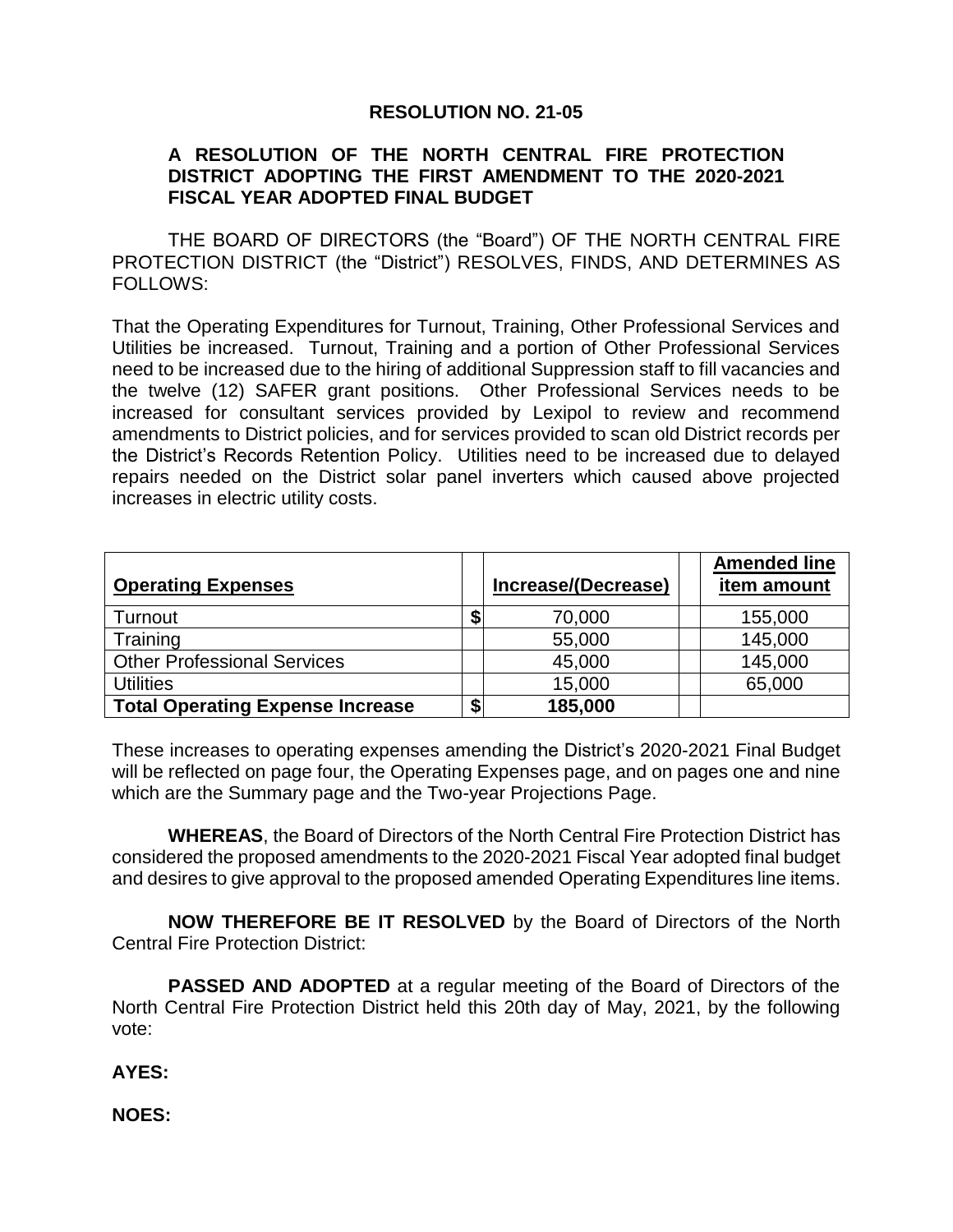## **RESOLUTION NO. 21-05**

#### **A RESOLUTION OF THE NORTH CENTRAL FIRE PROTECTION DISTRICT ADOPTING THE FIRST AMENDMENT TO THE 2020-2021 FISCAL YEAR ADOPTED FINAL BUDGET**

THE BOARD OF DIRECTORS (the "Board") OF THE NORTH CENTRAL FIRE PROTECTION DISTRICT (the "District") RESOLVES, FINDS, AND DETERMINES AS FOLLOWS:

That the Operating Expenditures for Turnout, Training, Other Professional Services and Utilities be increased. Turnout, Training and a portion of Other Professional Services need to be increased due to the hiring of additional Suppression staff to fill vacancies and the twelve (12) SAFER grant positions. Other Professional Services needs to be increased for consultant services provided by Lexipol to review and recommend amendments to District policies, and for services provided to scan old District records per the District's Records Retention Policy. Utilities need to be increased due to delayed repairs needed on the District solar panel inverters which caused above projected increases in electric utility costs.

| <b>Operating Expenses</b>               |   | Increase/(Decrease) | <b>Amended line</b><br>item amount |
|-----------------------------------------|---|---------------------|------------------------------------|
| Turnout                                 |   | 70,000              | 155,000                            |
| Training                                |   | 55,000              | 145,000                            |
| <b>Other Professional Services</b>      |   | 45,000              | 145,000                            |
| <b>Utilities</b>                        |   | 15,000              | 65,000                             |
| <b>Total Operating Expense Increase</b> | ¢ | 185,000             |                                    |

These increases to operating expenses amending the District's 2020-2021 Final Budget will be reflected on page four, the Operating Expenses page, and on pages one and nine which are the Summary page and the Two-year Projections Page.

**WHEREAS**, the Board of Directors of the North Central Fire Protection District has considered the proposed amendments to the 2020-2021 Fiscal Year adopted final budget and desires to give approval to the proposed amended Operating Expenditures line items.

**NOW THEREFORE BE IT RESOLVED** by the Board of Directors of the North Central Fire Protection District:

**PASSED AND ADOPTED** at a regular meeting of the Board of Directors of the North Central Fire Protection District held this 20th day of May, 2021, by the following vote:

### **AYES:**

**NOES:**